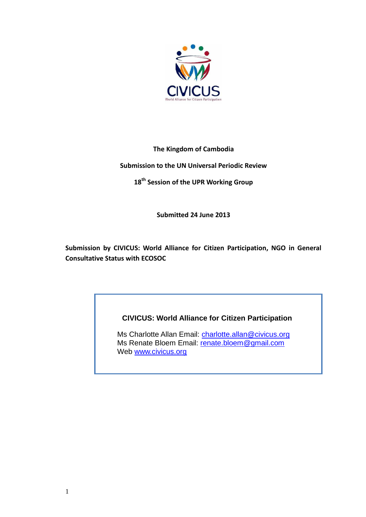

## **The Kingdom of Cambodia**

## **Submission to the UN Universal Periodic Review**

**18 th Session of the UPR Working Group**

**Submitted 24 June 2013**

**Submission by CIVICUS: World Alliance for Citizen Participation, NGO in General Consultative Status with ECOSOC** 

# **CIVICUS: World Alliance for Citizen Participation**

Ms Charlotte Allan Email: [charlotte.allan@civicus.org](mailto:charlotte.allan@civicus.org) Ms Renate Bloem Email: [renate.bloem@gmail.com](mailto:renate.bloem@gmail.com) Web [www.civicus.org](http://www.civicus.org/)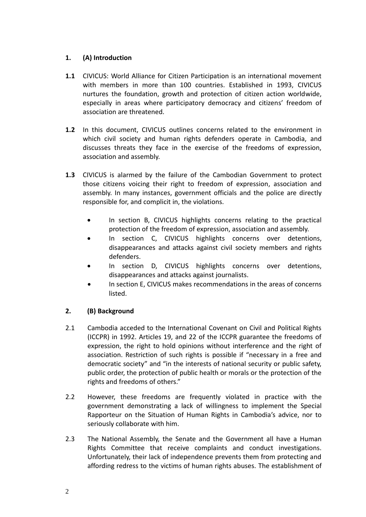## **1. (A) Introduction**

- **1.1** CIVICUS: World Alliance for Citizen Participation is an international movement with members in more than 100 countries. Established in 1993, CIVICUS nurtures the foundation, growth and protection of citizen action worldwide, especially in areas where participatory democracy and citizens' freedom of association are threatened.
- **1.2** In this document, CIVICUS outlines concerns related to the environment in which civil society and human rights defenders operate in Cambodia, and discusses threats they face in the exercise of the freedoms of expression, association and assembly.
- **1.3** CIVICUS is alarmed by the failure of the Cambodian Government to protect those citizens voicing their right to freedom of expression, association and assembly. In many instances, government officials and the police are directly responsible for, and complicit in, the violations.
	- In section B, CIVICUS highlights concerns relating to the practical protection of the freedom of expression, association and assembly.
	- In section C, CIVICUS highlights concerns over detentions, disappearances and attacks against civil society members and rights defenders.
	- In section D, CIVICUS highlights concerns over detentions, disappearances and attacks against journalists.
	- In section E, CIVICUS makes recommendations in the areas of concerns listed.

# **2. (B) Background**

- 2.1 Cambodia acceded to the International Covenant on Civil and Political Rights (ICCPR) in 1992. Articles 19, and 22 of the ICCPR guarantee the freedoms of expression, the right to hold opinions without interference and the right of association. Restriction of such rights is possible if "necessary in a free and democratic society" and "in the interests of national security or public safety, public order, the protection of public health or morals or the protection of the rights and freedoms of others."
- 2.2 However, these freedoms are frequently violated in practice with the government demonstrating a lack of willingness to implement the Special Rapporteur on the Situation of Human Rights in Cambodia's advice, nor to seriously collaborate with him.
- 2.3 The National Assembly, the Senate and the Government all have a Human Rights Committee that receive complaints and conduct investigations. Unfortunately, their lack of independence prevents them from protecting and affording redress to the victims of human rights abuses. The establishment of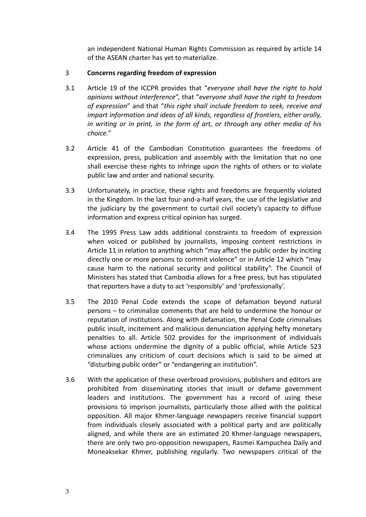an independent National Human Rights Commission as required by article 14 of the ASEAN charter has yet to materialize.

## 3 **Concerns regarding freedom of expression**

- 3.1 Article 19 of the ICCPR provides that "*everyone shall have the right to hold opinions without interference*", that "*everyone shall have the right to freedom of expression*" and that "*this right shall include freedom to seek, receive and impart information and ideas of all kinds, regardless of frontiers, either orally, in writing or in print, in the form of art, or through any other media of his choice.*"
- 3.2 Article 41 of the Cambodian Constitution guarantees the freedoms of expression, press, publication and assembly with the limitation that no one shall exercise these rights to infringe upon the rights of others or to violate public law and order and national security.
- 3.3 Unfortunately, in practice, these rights and freedoms are frequently violated in the Kingdom. In the last four-and-a-half years, the use of the legislative and the judiciary by the government to curtail civil society's capacity to diffuse information and express critical opinion has surged.
- 3.4 The 1995 Press Law adds additional constraints to freedom of expression when voiced or published by journalists, imposing content restrictions in Article 11 in relation to anything which "may affect the public order by inciting directly one or more persons to commit violence" or in Article 12 which "may cause harm to the national security and political stability". The Council of Ministers has stated that Cambodia allows for a free press, but has stipulated that reporters have a duty to act 'responsibly' and 'professionally'.
- 3.5 The 2010 Penal Code extends the scope of defamation beyond natural persons – to criminalize comments that are held to undermine the honour or reputation of institutions. Along with defamation, the Penal Code criminalises public insult, incitement and malicious denunciation applying hefty monetary penalties to all. Article 502 provides for the imprisonment of individuals whose actions undermine the dignity of a public official, while Article 523 criminalizes any criticism of court decisions which is said to be aimed at "disturbing public order" or "endangering an institution".
- 3.6 With the application of these overbroad provisions, publishers and editors are prohibited from disseminating stories that insult or defame government leaders and institutions. The government has a record of using these provisions to imprison journalists, particularly those allied with the political opposition. All major Khmer-language newspapers receive financial support from individuals closely associated with a political party and are politically aligned, and while there are an estimated 20 Khmer-language newspapers, there are only two pro-opposition newspapers, Rasmei Kampuchea Daily and Moneaksekar Khmer, publishing regularly. Two newspapers critical of the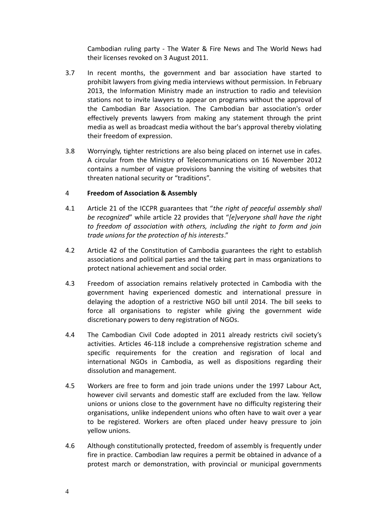Cambodian ruling party - The Water & Fire News and The World News had their licenses revoked on 3 August 2011.

- 3.7 In recent months, the government and bar association have started to prohibit lawyers from giving media interviews without permission. In February 2013, the Information Ministry made an instruction to radio and television stations not to invite lawyers to appear on programs without the approval of the Cambodian Bar Association. The Cambodian bar association's order effectively prevents lawyers from making any statement through the print media as well as broadcast media without the bar's approval thereby violating their freedom of expression.
- 3.8 Worryingly, tighter restrictions are also being placed on internet use in cafes. A circular from the Ministry of Telecommunications on 16 November 2012 contains a number of vague provisions banning the visiting of websites that threaten national security or "traditions".

#### 4 **Freedom of Association & Assembly**

- 4.1 Article 21 of the ICCPR guarantees that "*the right of peaceful assembly shall be recognized*" while article 22 provides that "*[e]veryone shall have the right to freedom of association with others, including the right to form and join trade unions for the protection of his interests*."
- 4.2 Article 42 of the Constitution of Cambodia guarantees the right to establish associations and political parties and the taking part in mass organizations to protect national achievement and social order.
- 4.3 Freedom of association remains relatively protected in Cambodia with the government having experienced domestic and international pressure in delaying the adoption of a restrictive NGO bill until 2014. The bill seeks to force all organisations to register while giving the government wide discretionary powers to deny registration of NGOs.
- 4.4 The Cambodian Civil Code adopted in 2011 already restricts civil society's activities. Articles 46-118 include a comprehensive registration scheme and specific requirements for the creation and regisration of local and international NGOs in Cambodia, as well as dispositions regarding their dissolution and management.
- 4.5 Workers are free to form and join trade unions under the 1997 Labour Act, however civil servants and domestic staff are excluded from the law. Yellow unions or unions close to the government have no difficulty registering their organisations, unlike independent unions who often have to wait over a year to be registered. Workers are often placed under heavy pressure to join yellow unions.
- 4.6 Although constitutionally protected, freedom of assembly is frequently under fire in practice. Cambodian law requires a permit be obtained in advance of a protest march or demonstration, with provincial or municipal governments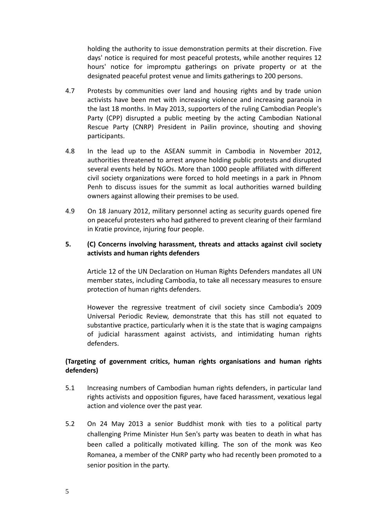holding the authority to issue demonstration permits at their discretion. Five days' notice is required for most peaceful protests, while another requires 12 hours' notice for impromptu gatherings on private property or at the designated peaceful protest venue and limits gatherings to 200 persons.

- 4.7 Protests by communities over land and housing rights and by trade union activists have been met with increasing violence and increasing paranoia in the last 18 months. In May 2013, supporters of the ruling Cambodian People's Party (CPP) disrupted a public meeting by the acting Cambodian National Rescue Party (CNRP) President in Pailin province, shouting and shoving participants.
- 4.8 In the lead up to the ASEAN summit in Cambodia in November 2012, authorities threatened to arrest anyone holding public protests and disrupted several events held by NGOs. More than 1000 people affiliated with different civil society organizations were forced to hold meetings in a park in Phnom Penh to discuss issues for the summit as local authorities warned building owners against allowing their premises to be used.
- 4.9 On 18 January 2012, military personnel acting as security guards opened fire on peaceful protesters who had gathered to prevent clearing of their farmland in Kratie province, injuring four people.

#### **5. (C) Concerns involving harassment, threats and attacks against civil society activists and human rights defenders**

Article 12 of the UN Declaration on Human Rights Defenders mandates all UN member states, including Cambodia, to take all necessary measures to ensure protection of human rights defenders.

However the regressive treatment of civil society since Cambodia's 2009 Universal Periodic Review, demonstrate that this has still not equated to substantive practice, particularly when it is the state that is waging campaigns of judicial harassment against activists, and intimidating human rights defenders.

## **(Targeting of government critics, human rights organisations and human rights defenders)**

- 5.1 Increasing numbers of Cambodian human rights defenders, in particular land rights activists and opposition figures, have faced harassment, vexatious legal action and violence over the past year.
- 5.2 On 24 May 2013 a senior Buddhist monk with ties to a political party challenging Prime Minister Hun Sen's party was beaten to death in what has been called a politically motivated killing. The son of the monk was Keo Romanea, a member of the CNRP party who had recently been promoted to a senior position in the party.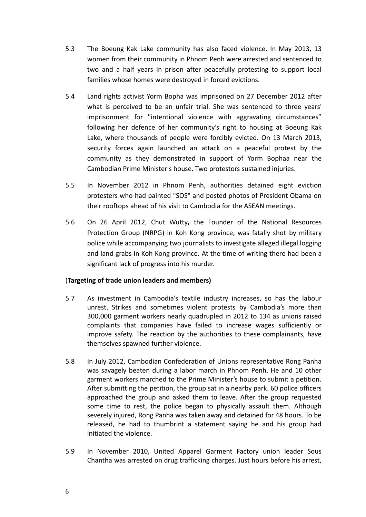- 5.3 The Boeung Kak Lake community has also faced violence. In May 2013, 13 women from their community in Phnom Penh were arrested and sentenced to two and a half years in prison after peacefully protesting to support local families whose homes were destroyed in forced evictions.
- 5.4 Land rights activist Yorm Bopha was imprisoned on 27 December 2012 after what is perceived to be an unfair trial. She was sentenced to three years' imprisonment for "intentional violence with aggravating circumstances" following her defence of her community's right to housing at Boeung Kak Lake, where thousands of people were forcibly evicted. On 13 March 2013, security forces again launched an attack on a peaceful protest by the community as they demonstrated in support of Yorm Bophaa near the Cambodian Prime Minister's house. Two protestors sustained injuries.
- 5.5 In November 2012 in Phnom Penh, authorities detained eight eviction protesters who had painted "SOS" and posted photos of President Obama on their rooftops ahead of his visit to Cambodia for the ASEAN meetings.
- 5.6 On 26 April 2012, Chut Wutty**,** the Founder of the National Resources Protection Group (NRPG) in Koh Kong province, was fatally shot by military police while accompanying two journalists to investigate alleged illegal logging and land grabs in Koh Kong province. At the time of writing there had been a significant lack of progress into his murder.

## (**Targeting of trade union leaders and members)**

- 5.7 As investment in Cambodia's textile industry increases, so has the labour unrest. Strikes and sometimes violent protests by Cambodia's more than 300,000 garment workers nearly quadrupled in 2012 to 134 as unions raised complaints that companies have failed to increase wages sufficiently or improve safety. The reaction by the authorities to these complainants, have themselves spawned further violence.
- 5.8 In July 2012, Cambodian Confederation of Unions representative Rong Panha was savagely beaten during a labor march in Phnom Penh. He and 10 other garment workers marched to the Prime Minister's house to submit a petition. After submitting the petition, the group sat in a nearby park. 60 police officers approached the group and asked them to leave. After the group requested some time to rest, the police began to physically assault them. Although severely injured, Rong Panha was taken away and detained for 48 hours. To be released, he had to thumbrint a statement saying he and his group had initiated the violence.
- 5.9 In November 2010, United Apparel Garment Factory union leader Sous Chantha was arrested on drug trafficking charges. Just hours before his arrest,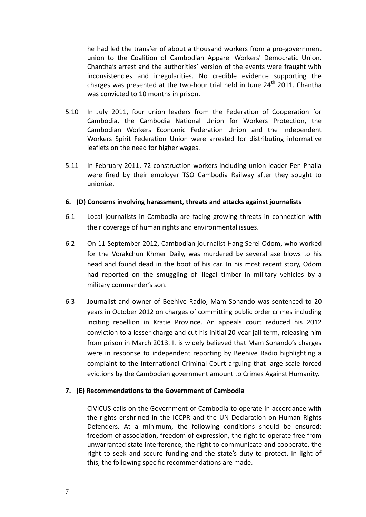he had led the transfer of about a thousand workers from a pro-government union to the Coalition of Cambodian Apparel Workers' Democratic Union. Chantha's arrest and the authorities' version of the events were fraught with inconsistencies and irregularities. No credible evidence supporting the charges was presented at the two-hour trial held in June  $24<sup>th</sup>$  2011. Chantha was convicted to 10 months in prison.

- 5.10 In July 2011, four union leaders from the Federation of Cooperation for Cambodia, the Cambodia National Union for Workers Protection, the Cambodian Workers Economic Federation Union and the Independent Workers Spirit Federation Union were arrested for distributing informative leaflets on the need for higher wages.
- 5.11 In February 2011, 72 construction workers including union leader Pen Phalla were fired by their employer TSO Cambodia Railway after they sought to unionize.

#### **6. (D) Concerns involving harassment, threats and attacks against journalists**

- 6.1 Local journalists in Cambodia are facing growing threats in connection with their coverage of human rights and environmental issues.
- 6.2 On 11 September 2012, Cambodian journalist Hang Serei Odom, who worked for the Vorakchun Khmer Daily, was murdered by several axe blows to his head and found dead in the boot of his car. In his most recent story, Odom had reported on the smuggling of illegal timber in military vehicles by a military commander's son.
- 6.3 Journalist and owner of Beehive Radio, Mam Sonando was sentenced to 20 years in October 2012 on charges of committing public order crimes including inciting rebellion in Kratie Province. An appeals court reduced his 2012 conviction to a lesser charge and cut his initial 20-year jail term, releasing him from prison in March 2013. It is widely believed that Mam Sonando's charges were in response to independent reporting by Beehive Radio highlighting a complaint to the International Criminal Court arguing that large-scale forced evictions by the Cambodian government amount to Crimes Against Humanity.

#### **7. (E) Recommendations to the Government of Cambodia**

CIVICUS calls on the Government of Cambodia to operate in accordance with the rights enshrined in the ICCPR and the UN Declaration on Human Rights Defenders. At a minimum, the following conditions should be ensured: freedom of association, freedom of expression, the right to operate free from unwarranted state interference, the right to communicate and cooperate, the right to seek and secure funding and the state's duty to protect. In light of this, the following specific recommendations are made.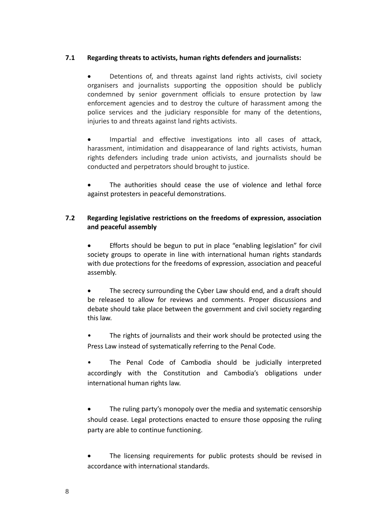## **7.1 Regarding threats to activists, human rights defenders and journalists:**

 Detentions of, and threats against land rights activists, civil society organisers and journalists supporting the opposition should be publicly condemned by senior government officials to ensure protection by law enforcement agencies and to destroy the culture of harassment among the police services and the judiciary responsible for many of the detentions, injuries to and threats against land rights activists.

 Impartial and effective investigations into all cases of attack, harassment, intimidation and disappearance of land rights activists, human rights defenders including trade union activists, and journalists should be conducted and perpetrators should brought to justice.

 The authorities should cease the use of violence and lethal force against protesters in peaceful demonstrations.

## **7.2 Regarding legislative restrictions on the freedoms of expression, association and peaceful assembly**

 Efforts should be begun to put in place "enabling legislation" for civil society groups to operate in line with international human rights standards with due protections for the freedoms of expression, association and peaceful assembly.

 The secrecy surrounding the Cyber Law should end, and a draft should be released to allow for reviews and comments. Proper discussions and debate should take place between the government and civil society regarding this law.

• The rights of journalists and their work should be protected using the Press Law instead of systematically referring to the Penal Code.

• The Penal Code of Cambodia should be judicially interpreted accordingly with the Constitution and Cambodia's obligations under international human rights law.

 The ruling party's monopoly over the media and systematic censorship should cease. Legal protections enacted to ensure those opposing the ruling party are able to continue functioning.

 The licensing requirements for public protests should be revised in accordance with international standards.